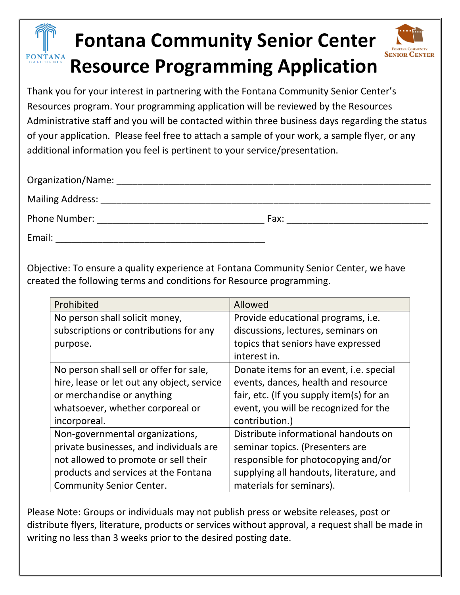## **Fontana Community Senior Center Resource Programming Application**



**SENIOR CENTER** 

| Organization/Name:      |      |  |
|-------------------------|------|--|
| <b>Mailing Address:</b> |      |  |
| Phone Number:           | Fax: |  |
| Email:                  |      |  |

Objective: To ensure a quality experience at Fontana Community Senior Center, we have created the following terms and conditions for Resource programming.

| Prohibited                                 | Allowed                                  |  |  |
|--------------------------------------------|------------------------------------------|--|--|
| No person shall solicit money,             | Provide educational programs, i.e.       |  |  |
| subscriptions or contributions for any     | discussions, lectures, seminars on       |  |  |
| purpose.                                   | topics that seniors have expressed       |  |  |
|                                            | interest in.                             |  |  |
| No person shall sell or offer for sale,    | Donate items for an event, i.e. special  |  |  |
| hire, lease or let out any object, service | events, dances, health and resource      |  |  |
| or merchandise or anything                 | fair, etc. (If you supply item(s) for an |  |  |
| whatsoever, whether corporeal or           | event, you will be recognized for the    |  |  |
| incorporeal.                               | contribution.)                           |  |  |
| Non-governmental organizations,            | Distribute informational handouts on     |  |  |
| private businesses, and individuals are    | seminar topics. (Presenters are          |  |  |
| not allowed to promote or sell their       | responsible for photocopying and/or      |  |  |
| products and services at the Fontana       | supplying all handouts, literature, and  |  |  |
| <b>Community Senior Center.</b>            | materials for seminars).                 |  |  |

Please Note: Groups or individuals may not publish press or website releases, post or distribute flyers, literature, products or services without approval, a request shall be made in writing no less than 3 weeks prior to the desired posting date.